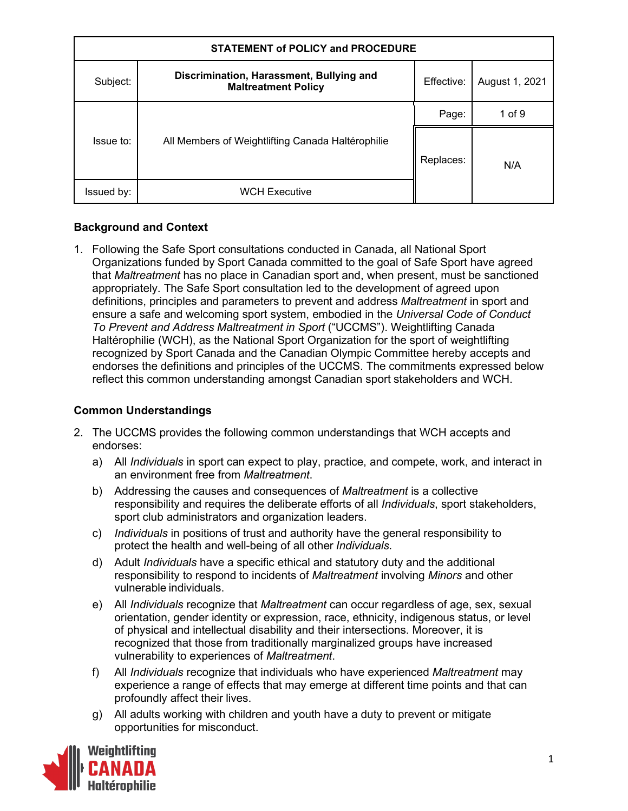| <b>STATEMENT of POLICY and PROCEDURE</b> |                                                                        |            |                |
|------------------------------------------|------------------------------------------------------------------------|------------|----------------|
| Subject:                                 | Discrimination, Harassment, Bullying and<br><b>Maltreatment Policy</b> | Effective: | August 1, 2021 |
|                                          |                                                                        | Page:      | 1 of $9$       |
| Issue to:                                | All Members of Weightlifting Canada Haltérophilie                      | Replaces:  | N/A            |
| Issued by:                               | <b>WCH Executive</b>                                                   |            |                |

# **Background and Context**

1. Following the Safe Sport consultations conducted in Canada, all National Sport Organizations funded by Sport Canada committed to the goal of Safe Sport have agreed that *Maltreatment* has no place in Canadian sport and, when present, must be sanctioned appropriately. The Safe Sport consultation led to the development of agreed upon definitions, principles and parameters to prevent and address *Maltreatment* in sport and ensure a safe and welcoming sport system, embodied in the *Universal Code of Conduct To Prevent and Address Maltreatment in Sport* ("UCCMS"). Weightlifting Canada Haltérophilie (WCH), as the National Sport Organization for the sport of weightlifting recognized by Sport Canada and the Canadian Olympic Committee hereby accepts and endorses the definitions and principles of the UCCMS. The commitments expressed below reflect this common understanding amongst Canadian sport stakeholders and WCH.

## **Common Understandings**

- 2. The UCCMS provides the following common understandings that WCH accepts and endorses:
	- a) All *Individuals* in sport can expect to play, practice, and compete, work, and interact in an environment free from *Maltreatment*.
	- b) Addressing the causes and consequences of *Maltreatment* is a collective responsibility and requires the deliberate efforts of all *Individuals*, sport stakeholders, sport club administrators and organization leaders.
	- c) *Individuals* in positions of trust and authority have the general responsibility to protect the health and well-being of all other *Individuals.*
	- d) Adult *Individuals* have a specific ethical and statutory duty and the additional responsibility to respond to incidents of *Maltreatment* involving *Minors* and other vulnerable individuals.
	- e) All *Individuals* recognize that *Maltreatment* can occur regardless of age, sex, sexual orientation, gender identity or expression, race, ethnicity, indigenous status, or level of physical and intellectual disability and their intersections. Moreover, it is recognized that those from traditionally marginalized groups have increased vulnerability to experiences of *Maltreatment*.
	- f) All *Individuals* recognize that individuals who have experienced *Maltreatment* may experience a range of effects that may emerge at different time points and that can profoundly affect their lives.
	- g) All adults working with children and youth have a duty to prevent or mitigate opportunities for misconduct.

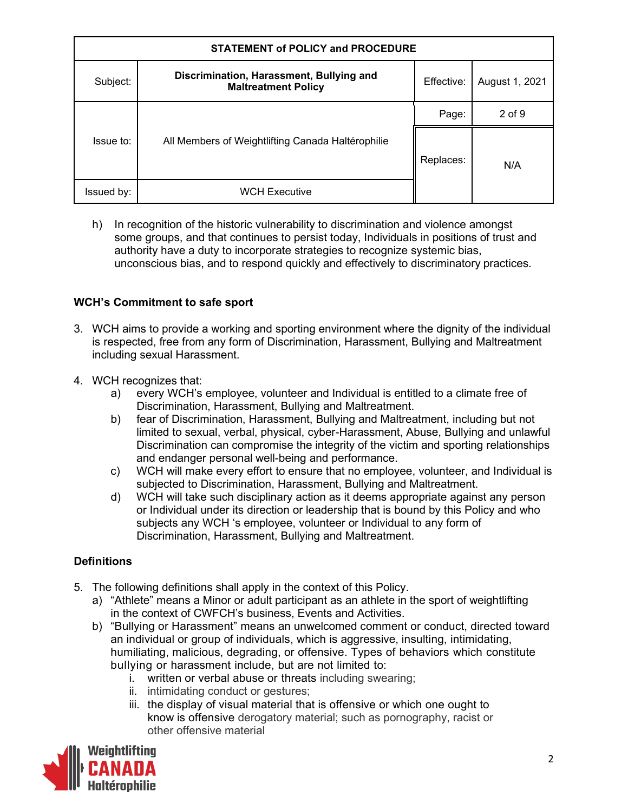| <b>STATEMENT of POLICY and PROCEDURE</b> |                                                                        |            |                |  |
|------------------------------------------|------------------------------------------------------------------------|------------|----------------|--|
| Subject:                                 | Discrimination, Harassment, Bullying and<br><b>Maltreatment Policy</b> | Effective: | August 1, 2021 |  |
|                                          |                                                                        | Page:      | $2$ of $9$     |  |
| Issue to:                                | All Members of Weightlifting Canada Haltérophilie                      | Replaces:  | N/A            |  |
| Issued by:                               | <b>WCH Executive</b>                                                   |            |                |  |

h) In recognition of the historic vulnerability to discrimination and violence amongst some groups, and that continues to persist today, Individuals in positions of trust and authority have a duty to incorporate strategies to recognize systemic bias, unconscious bias, and to respond quickly and effectively to discriminatory practices.

## **WCH's Commitment to safe sport**

- 3. WCH aims to provide a working and sporting environment where the dignity of the individual is respected, free from any form of Discrimination, Harassment, Bullying and Maltreatment including sexual Harassment.
- 4. WCH recognizes that:
	- a) every WCH's employee, volunteer and Individual is entitled to a climate free of Discrimination, Harassment, Bullying and Maltreatment.
	- b) fear of Discrimination, Harassment, Bullying and Maltreatment, including but not limited to sexual, verbal, physical, cyber-Harassment, Abuse, Bullying and unlawful Discrimination can compromise the integrity of the victim and sporting relationships and endanger personal well-being and performance.
	- c) WCH will make every effort to ensure that no employee, volunteer, and Individual is subjected to Discrimination, Harassment, Bullying and Maltreatment.
	- d) WCH will take such disciplinary action as it deems appropriate against any person or Individual under its direction or leadership that is bound by this Policy and who subjects any WCH 's employee, volunteer or Individual to any form of Discrimination, Harassment, Bullying and Maltreatment.

## **Definitions**

- 5. The following definitions shall apply in the context of this Policy.
	- a) "Athlete" means a Minor or adult participant as an athlete in the sport of weightlifting in the context of CWFCH's business, Events and Activities.
	- b) "Bullying or Harassment" means an unwelcomed comment or conduct, directed toward an individual or group of individuals, which is aggressive, insulting, intimidating, humiliating, malicious, degrading, or offensive. Types of behaviors which constitute bullying or harassment include, but are not limited to:
		- i. written or verbal abuse or threats including swearing;
		- ii. intimidating conduct or gestures;
		- iii. the display of visual material that is offensive or which one ought to know is offensive derogatory material; such as pornography, racist or other offensive material

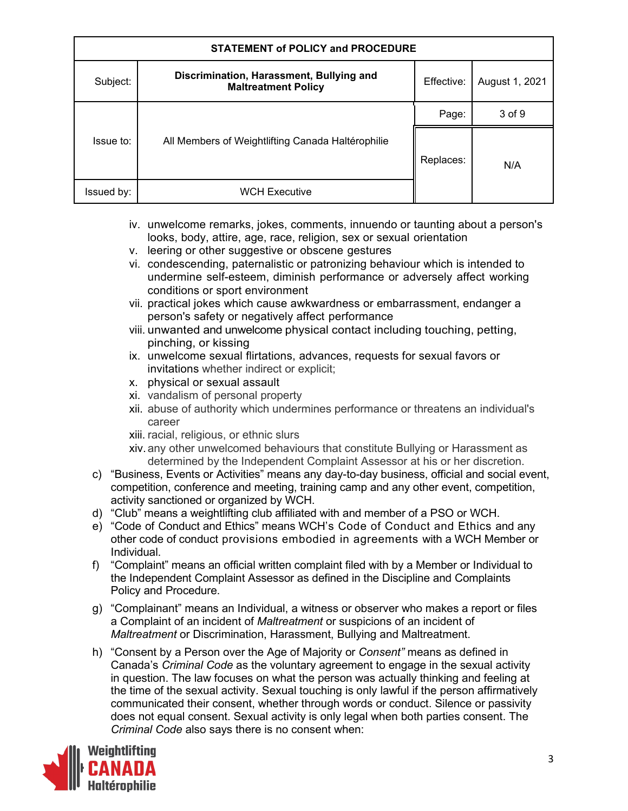| <b>STATEMENT of POLICY and PROCEDURE</b> |                                                                        |            |                |
|------------------------------------------|------------------------------------------------------------------------|------------|----------------|
| Subject:                                 | Discrimination, Harassment, Bullying and<br><b>Maltreatment Policy</b> | Effective: | August 1, 2021 |
|                                          |                                                                        | Page:      | 3 of 9         |
| Issue to:                                | All Members of Weightlifting Canada Haltérophilie                      | Replaces:  | N/A            |
| Issued by:                               | <b>WCH Executive</b>                                                   |            |                |

- iv. unwelcome remarks, jokes, comments, innuendo or taunting about a person's looks, body, attire, age, race, religion, sex or sexual orientation
- v. leering or other suggestive or obscene gestures
- vi. condescending, paternalistic or patronizing behaviour which is intended to undermine self-esteem, diminish performance or adversely affect working conditions or sport environment
- vii. practical jokes which cause awkwardness or embarrassment, endanger a person's safety or negatively affect performance
- viii. unwanted and unwelcome physical contact including touching, petting, pinching, or kissing
- ix. unwelcome sexual flirtations, advances, requests for sexual favors or invitations whether indirect or explicit;
- x. physical or sexual assault
- xi. vandalism of personal property
- xii. abuse of authority which undermines performance or threatens an individual's career
- xiii. racial, religious, or ethnic slurs
- xiv.any other unwelcomed behaviours that constitute Bullying or Harassment as determined by the Independent Complaint Assessor at his or her discretion.
- c) "Business, Events or Activities" means any day-to-day business, official and social event, competition, conference and meeting, training camp and any other event, competition, activity sanctioned or organized by WCH.
- d) "Club" means a weightlifting club affiliated with and member of a PSO or WCH.
- e) "Code of Conduct and Ethics" means WCH's Code of Conduct and Ethics and any other code of conduct provisions embodied in agreements with a WCH Member or Individual.
- f) "Complaint" means an official written complaint filed with by a Member or Individual to the Independent Complaint Assessor as defined in the Discipline and Complaints Policy and Procedure.
- g) "Complainant" means an Individual, a witness or observer who makes a report or files a Complaint of an incident of *Maltreatment* or suspicions of an incident of *Maltreatment* or Discrimination, Harassment, Bullying and Maltreatment.
- h) "Consent by a Person over the Age of Majority or *Consent"* means as defined in Canada's *Criminal Code* as the voluntary agreement to engage in the sexual activity in question. The law focuses on what the person was actually thinking and feeling at the time of the sexual activity. Sexual touching is only lawful if the person affirmatively communicated their consent, whether through words or conduct. Silence or passivity does not equal consent. Sexual activity is only legal when both parties consent. The *Criminal Code* also says there is no consent when:

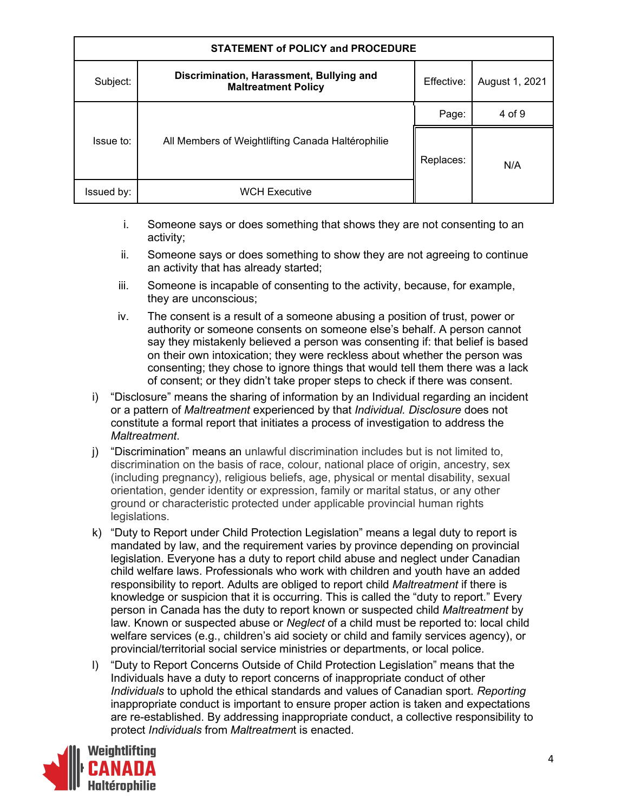| <b>STATEMENT of POLICY and PROCEDURE</b> |                                                                        |            |                |
|------------------------------------------|------------------------------------------------------------------------|------------|----------------|
| Subject:                                 | Discrimination, Harassment, Bullying and<br><b>Maltreatment Policy</b> | Effective: | August 1, 2021 |
|                                          |                                                                        | Page:      | 4 of 9         |
| Issue to:                                | All Members of Weightlifting Canada Haltérophilie                      | Replaces:  | N/A            |
| Issued by:                               | <b>WCH Executive</b>                                                   |            |                |

- i. Someone says or does something that shows they are not consenting to an activity;
- ii. Someone says or does something to show they are not agreeing to continue an activity that has already started;
- iii. Someone is incapable of consenting to the activity, because, for example, they are unconscious;
- iv. The consent is a result of a someone abusing a position of trust, power or authority or someone consents on someone else's behalf. A person cannot say they mistakenly believed a person was consenting if: that belief is based on their own intoxication; they were reckless about whether the person was consenting; they chose to ignore things that would tell them there was a lack of consent; or they didn't take proper steps to check if there was consent.
- i) "Disclosure" means the sharing of information by an Individual regarding an incident or a pattern of *Maltreatment* experienced by that *Individual. Disclosure* does not constitute a formal report that initiates a process of investigation to address the *Maltreatment*.
- j) "Discrimination" means an unlawful discrimination includes but is not limited to, discrimination on the basis of race, colour, national place of origin, ancestry, sex (including pregnancy), religious beliefs, age, physical or mental disability, sexual orientation, gender identity or expression, family or marital status, or any other ground or characteristic protected under applicable provincial human rights legislations.
- k) "Duty to Report under Child Protection Legislation" means a legal duty to report is mandated by law, and the requirement varies by province depending on provincial legislation. Everyone has a duty to report child abuse and neglect under Canadian child welfare laws. Professionals who work with children and youth have an added responsibility to report. Adults are obliged to report child *Maltreatment* if there is knowledge or suspicion that it is occurring. This is called the "duty to report." Every person in Canada has the duty to report known or suspected child *Maltreatment* by law. Known or suspected abuse or *Neglect* of a child must be reported to: local child welfare services (e.g., children's aid society or child and family services agency), or provincial/territorial social service ministries or departments, or local police.
- l) "Duty to Report Concerns Outside of Child Protection Legislation" means that the Individuals have a duty to report concerns of inappropriate conduct of other *Individuals* to uphold the ethical standards and values of Canadian sport. *Reporting*  inappropriate conduct is important to ensure proper action is taken and expectations are re-established. By addressing inappropriate conduct, a collective responsibility to protect *Individuals* from *Maltreatmen*t is enacted.

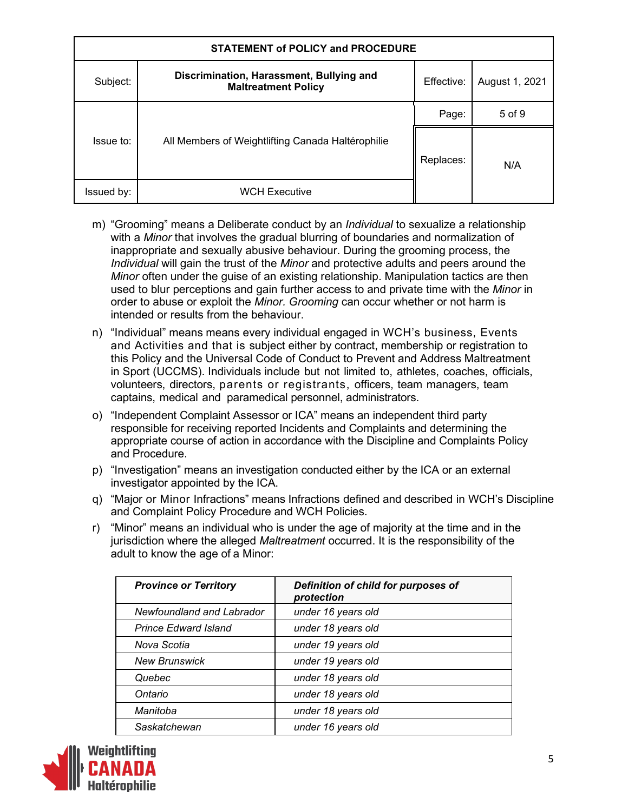| <b>STATEMENT of POLICY and PROCEDURE</b> |                                                                        |            |                |  |
|------------------------------------------|------------------------------------------------------------------------|------------|----------------|--|
| Subject:                                 | Discrimination, Harassment, Bullying and<br><b>Maltreatment Policy</b> | Effective: | August 1, 2021 |  |
|                                          |                                                                        | Page:      | 5 of 9         |  |
| Issue to:                                | All Members of Weightlifting Canada Haltérophilie                      | Replaces:  | N/A            |  |
| Issued by:                               | <b>WCH Executive</b>                                                   |            |                |  |

- m) "Grooming" means a Deliberate conduct by an *Individual* to sexualize a relationship with a *Minor* that involves the gradual blurring of boundaries and normalization of inappropriate and sexually abusive behaviour. During the grooming process, the *Individual* will gain the trust of the *Minor* and protective adults and peers around the *Minor* often under the guise of an existing relationship. Manipulation tactics are then used to blur perceptions and gain further access to and private time with the *Minor* in order to abuse or exploit the *Minor. Grooming* can occur whether or not harm is intended or results from the behaviour.
- n) "Individual" means means every individual engaged in WCH's business, Events and Activities and that is subject either by contract, membership or registration to this Policy and the Universal Code of Conduct to Prevent and Address Maltreatment in Sport (UCCMS). Individuals include but not limited to, athletes, coaches, officials, volunteers, directors, parents or registrants, officers, team managers, team captains, medical and paramedical personnel, administrators.
- o) "Independent Complaint Assessor or ICA" means an independent third party responsible for receiving reported Incidents and Complaints and determining the appropriate course of action in accordance with the Discipline and Complaints Policy and Procedure.
- p) "Investigation" means an investigation conducted either by the ICA or an external investigator appointed by the ICA.
- q) "Major or Minor Infractions" means Infractions defined and described in WCH's Discipline and Complaint Policy Procedure and WCH Policies.
- r) "Minor" means an individual who is under the age of majority at the time and in the jurisdiction where the alleged *Maltreatment* occurred. It is the responsibility of the adult to know the age of a Minor:

| <b>Province or Territory</b> | Definition of child for purposes of<br>protection |
|------------------------------|---------------------------------------------------|
| Newfoundland and Labrador    | under 16 years old                                |
| <b>Prince Edward Island</b>  | under 18 years old                                |
| Nova Scotia                  | under 19 years old                                |
| <b>New Brunswick</b>         | under 19 years old                                |
| Quebec                       | under 18 years old                                |
| Ontario                      | under 18 years old                                |
| Manitoba                     | under 18 years old                                |
| Saskatchewan                 | under 16 years old                                |

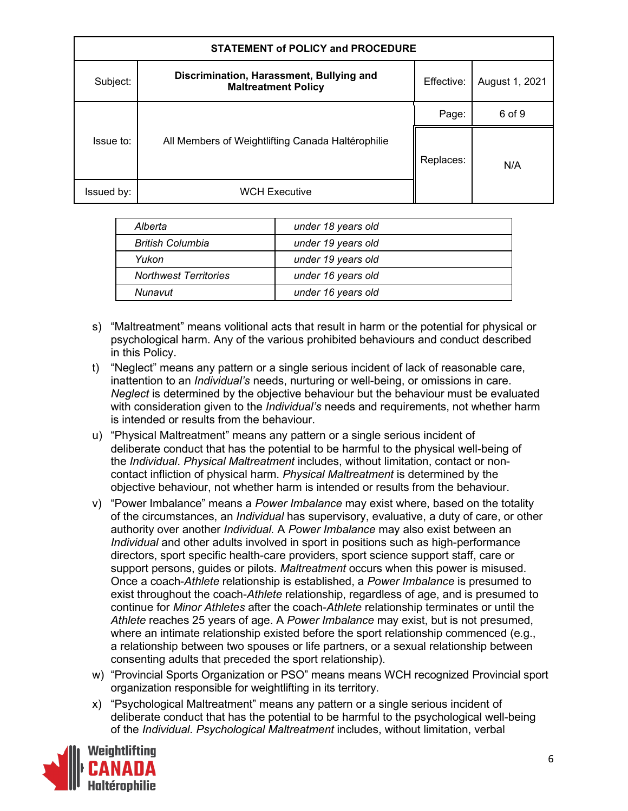| <b>STATEMENT of POLICY and PROCEDURE</b> |                                                                        |            |                |
|------------------------------------------|------------------------------------------------------------------------|------------|----------------|
| Subject:                                 | Discrimination, Harassment, Bullying and<br><b>Maltreatment Policy</b> | Effective: | August 1, 2021 |
|                                          |                                                                        | Page:      | 6 of 9         |
| Issue to:                                | All Members of Weightlifting Canada Haltérophilie                      | Replaces:  | N/A            |
| Issued by:                               | <b>WCH Executive</b>                                                   |            |                |

| Alberta                      | under 18 years old |
|------------------------------|--------------------|
| <b>British Columbia</b>      | under 19 years old |
| Yukon                        | under 19 years old |
| <b>Northwest Territories</b> | under 16 years old |
| Nunavut                      | under 16 years old |

- s) "Maltreatment" means volitional acts that result in harm or the potential for physical or psychological harm. Any of the various prohibited behaviours and conduct described in this Policy.
- t) "Neglect" means any pattern or a single serious incident of lack of reasonable care, inattention to an *Individual's* needs, nurturing or well-being, or omissions in care. *Neglect* is determined by the objective behaviour but the behaviour must be evaluated with consideration given to the *Individual's* needs and requirements, not whether harm is intended or results from the behaviour.
- u) "Physical Maltreatment" means any pattern or a single serious incident of deliberate conduct that has the potential to be harmful to the physical well-being of the *Individual*. *Physical Maltreatment* includes, without limitation, contact or noncontact infliction of physical harm. *Physical Maltreatment* is determined by the objective behaviour, not whether harm is intended or results from the behaviour.
- v) "Power Imbalance" means a *Power Imbalance* may exist where, based on the totality of the circumstances, an *Individual* has supervisory, evaluative, a duty of care, or other authority over another *Individual.* A *Power Imbalance* may also exist between an *Individual* and other adults involved in sport in positions such as high-performance directors, sport specific health-care providers, sport science support staff, care or support persons, guides or pilots. *Maltreatment* occurs when this power is misused. Once a coach-*Athlete* relationship is established, a *Power Imbalance* is presumed to exist throughout the coach-*Athlete* relationship, regardless of age, and is presumed to continue for *Minor Athletes* after the coach-*Athlete* relationship terminates or until the *Athlete* reaches 25 years of age. A *Power Imbalance* may exist, but is not presumed, where an intimate relationship existed before the sport relationship commenced (e.g., a relationship between two spouses or life partners, or a sexual relationship between consenting adults that preceded the sport relationship).
- w) "Provincial Sports Organization or PSO" means means WCH recognized Provincial sport organization responsible for weightlifting in its territory.
- x) "Psychological Maltreatment" means any pattern or a single serious incident of deliberate conduct that has the potential to be harmful to the psychological well-being of the *Individual*. *Psychological Maltreatment* includes, without limitation, verbal

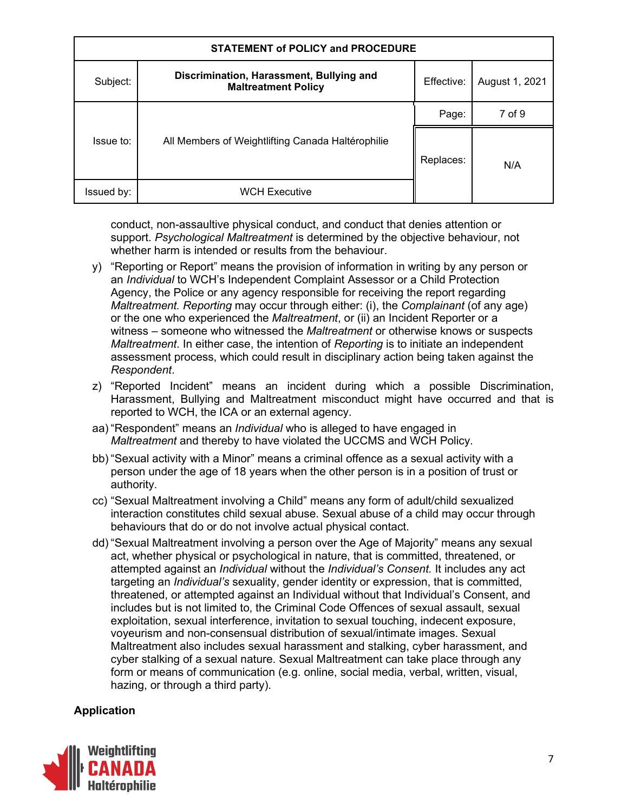| <b>STATEMENT of POLICY and PROCEDURE</b> |                                                                        |            |                |  |
|------------------------------------------|------------------------------------------------------------------------|------------|----------------|--|
| Subject:                                 | Discrimination, Harassment, Bullying and<br><b>Maltreatment Policy</b> | Effective: | August 1, 2021 |  |
|                                          |                                                                        | Page:      | 7 of 9         |  |
| Issue to:                                | All Members of Weightlifting Canada Haltérophilie                      | Replaces:  | N/A            |  |
| Issued by:                               | <b>WCH Executive</b>                                                   |            |                |  |

conduct, non-assaultive physical conduct, and conduct that denies attention or support. *Psychological Maltreatment* is determined by the objective behaviour, not whether harm is intended or results from the behaviour.

- y) "Reporting or Report" means the provision of information in writing by any person or an *Individual* to WCH's Independent Complaint Assessor or a Child Protection Agency, the Police or any agency responsible for receiving the report regarding *Maltreatment. Reporting* may occur through either: (i), the *Complainant* (of any age) or the one who experienced the *Maltreatment*, or (ii) an Incident Reporter or a witness – someone who witnessed the *Maltreatment* or otherwise knows or suspects *Maltreatment*. In either case, the intention of *Reporting* is to initiate an independent assessment process, which could result in disciplinary action being taken against the *Respondent*.
- z) "Reported Incident" means an incident during which a possible Discrimination, Harassment, Bullying and Maltreatment misconduct might have occurred and that is reported to WCH, the ICA or an external agency.
- aa) "Respondent" means an *Individual* who is alleged to have engaged in *Maltreatment* and thereby to have violated the UCCMS and WCH Policy.
- bb) "Sexual activity with a Minor" means a criminal offence as a sexual activity with a person under the age of 18 years when the other person is in a position of trust or authority.
- cc) "Sexual Maltreatment involving a Child" means any form of adult/child sexualized interaction constitutes child sexual abuse. Sexual abuse of a child may occur through behaviours that do or do not involve actual physical contact.
- dd) "Sexual Maltreatment involving a person over the Age of Majority" means any sexual act, whether physical or psychological in nature, that is committed, threatened, or attempted against an *Individual* without the *Individual's Consent.* It includes any act targeting an *Individual's* sexuality, gender identity or expression, that is committed, threatened, or attempted against an Individual without that Individual's Consent, and includes but is not limited to, the Criminal Code Offences of sexual assault, sexual exploitation, sexual interference, invitation to sexual touching, indecent exposure, voyeurism and non-consensual distribution of sexual/intimate images. Sexual Maltreatment also includes sexual harassment and stalking, cyber harassment, and cyber stalking of a sexual nature. Sexual Maltreatment can take place through any form or means of communication (e.g. online, social media, verbal, written, visual, hazing, or through a third party).

## **Application**

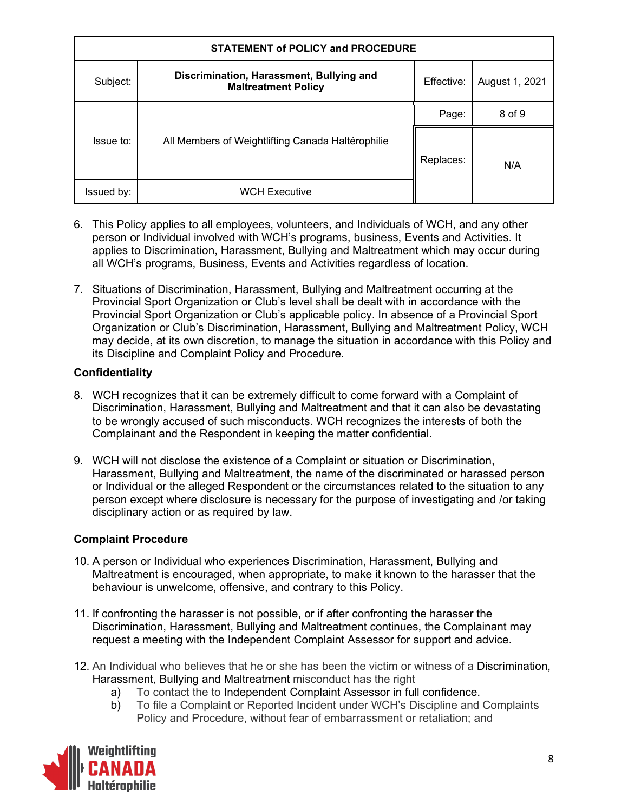| <b>STATEMENT of POLICY and PROCEDURE</b> |                                                                        |            |                |
|------------------------------------------|------------------------------------------------------------------------|------------|----------------|
| Subject:                                 | Discrimination, Harassment, Bullying and<br><b>Maltreatment Policy</b> | Effective: | August 1, 2021 |
|                                          |                                                                        | Page:      | 8 of 9         |
| Issue to:                                | All Members of Weightlifting Canada Haltérophilie                      | Replaces:  | N/A            |
| Issued by:                               | <b>WCH Executive</b>                                                   |            |                |

- 6. This Policy applies to all employees, volunteers, and Individuals of WCH, and any other person or Individual involved with WCH's programs, business, Events and Activities. It applies to Discrimination, Harassment, Bullying and Maltreatment which may occur during all WCH's programs, Business, Events and Activities regardless of location.
- 7. Situations of Discrimination, Harassment, Bullying and Maltreatment occurring at the Provincial Sport Organization or Club's level shall be dealt with in accordance with the Provincial Sport Organization or Club's applicable policy. In absence of a Provincial Sport Organization or Club's Discrimination, Harassment, Bullying and Maltreatment Policy, WCH may decide, at its own discretion, to manage the situation in accordance with this Policy and its Discipline and Complaint Policy and Procedure.

### **Confidentiality**

- 8. WCH recognizes that it can be extremely difficult to come forward with a Complaint of Discrimination, Harassment, Bullying and Maltreatment and that it can also be devastating to be wrongly accused of such misconducts. WCH recognizes the interests of both the Complainant and the Respondent in keeping the matter confidential.
- 9. WCH will not disclose the existence of a Complaint or situation or Discrimination, Harassment, Bullying and Maltreatment, the name of the discriminated or harassed person or Individual or the alleged Respondent or the circumstances related to the situation to any person except where disclosure is necessary for the purpose of investigating and /or taking disciplinary action or as required by law.

## **Complaint Procedure**

- 10. A person or Individual who experiences Discrimination, Harassment, Bullying and Maltreatment is encouraged, when appropriate, to make it known to the harasser that the behaviour is unwelcome, offensive, and contrary to this Policy.
- 11. If confronting the harasser is not possible, or if after confronting the harasser the Discrimination, Harassment, Bullying and Maltreatment continues, the Complainant may request a meeting with the Independent Complaint Assessor for support and advice.
- 12. An Individual who believes that he or she has been the victim or witness of a Discrimination, Harassment, Bullying and Maltreatment misconduct has the right
	- a) To contact the to Independent Complaint Assessor in full confidence.
	- b) To file a Complaint or Reported Incident under WCH's Discipline and Complaints Policy and Procedure, without fear of embarrassment or retaliation; and